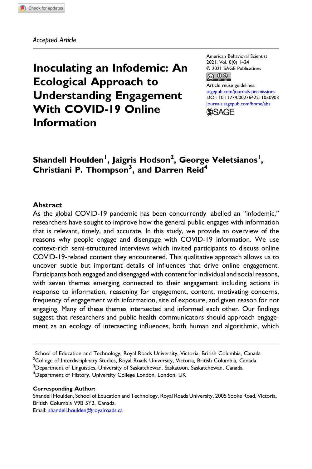Accepted Article

Inoculating an Infodemic: An Ecological Approach to Understanding Engagement With COVID-19 Online Information

American Behavioral Scientist 2021, Vol. 0(0) 1–24 © 2021 SAGE Publications  $\circledcirc$   $\circledcirc$ 

Article reuse guidelines: [sagepub.com/journals-permissions](https://us.sagepub.com/en-us/journals-permissions) DOI: [10.1177/00027642211050903](https://doi.org/10.1177/00027642211050903) [journals.sagepub.com/home/abs](https://journals.sagepub.com/home/abs) **SSAGE** 

# Shandell Houlden<sup>1</sup>, Jaigris Hodson<sup>2</sup>, George Veletsianos<sup>1</sup>, Christiani P. Thompson<sup>3</sup>, and Darren Reid<sup>4</sup>

#### Abstract

As the global COVID-19 pandemic has been concurrently labelled an "infodemic," researchers have sought to improve how the general public engages with information that is relevant, timely, and accurate. In this study, we provide an overview of the reasons why people engage and disengage with COVID-19 information. We use context-rich semi-structured interviews which invited participants to discuss online COVID-19-related content they encountered. This qualitative approach allows us to uncover subtle but important details of influences that drive online engagement. Participants both engaged and disengaged with content for individual and social reasons, with seven themes emerging connected to their engagement including actions in response to information, reasoning for engagement, content, motivating concerns, frequency of engagement with information, site of exposure, and given reason for not engaging. Many of these themes intersected and informed each other. Our findings suggest that researchers and public health communicators should approach engagement as an ecology of intersecting influences, both human and algorithmic, which

<sup>4</sup>Department of History, University College London, London, UK

#### Corresponding Author:

Shandell Houlden, School of Education and Technology, Royal Roads University, 2005 Sooke Road, Victoria, British Columbia V9B 5Y2, Canada. Email: [shandell.houlden@royalroads.ca](mailto:shandell.houlden@royalroads.ca)

<sup>&</sup>lt;sup>1</sup>School of Education and Technology, Royal Roads University, Victoria, British Columbia, Canada

 $^2$ College of Interdisciplinary Studies, Royal Roads University, Victoria, British Columbia, Canada <sup>3</sup>Department of Linguistics, University of Saskatchewan, Saskatoon, Saskatchewan, Canada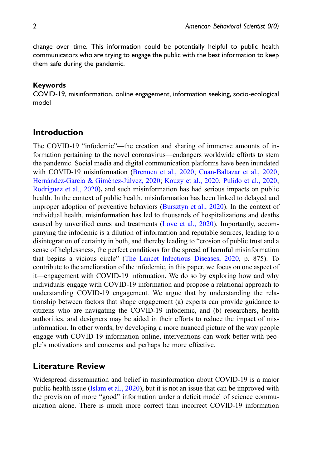change over time. This information could be potentially helpful to public health communicators who are trying to engage the public with the best information to keep them safe during the pandemic.

#### Keywords

COVID-19, misinformation, online engagement, information seeking, socio-ecological model

### Introduction

The COVID-19 "infodemic"—the creation and sharing of immense amounts of information pertaining to the novel coronavirus—endangers worldwide efforts to stem the pandemic. Social media and digital communication platforms have been inundated with COVID-19 misinformation ([Brennen et al., 2020;](#page-18-0) [Cuan-Baltazar et al., 2020;](#page-18-1) [Hern](#page-19-0)á[ndez-Garc](#page-19-0)ía & Giménez-Jú[lvez, 2020](#page-19-0); [Kouzy et al., 2020](#page-20-0); [Pulido et al., 2020;](#page-21-0) [Rodr](#page-21-1)í[guez et al., 2020](#page-21-1)), and such misinformation has had serious impacts on public health. In the context of public health, misinformation has been linked to delayed and improper adoption of preventive behaviors ([Bursztyn et al., 2020\)](#page-18-2). In the context of individual health, misinformation has led to thousands of hospitalizations and deaths caused by unverified cures and treatments ([Love et al., 2020\)](#page-20-1). Importantly, accompanying the infodemic is a dilution of information and reputable sources, leading to a disintegration of certainty in both, and thereby leading to "erosion of public trust and a sense of helplessness, the perfect conditions for the spread of harmful misinformation that begins a vicious circle" ([The Lancet Infectious Diseases, 2020,](#page-22-0) p. 875). To contribute to the amelioration of the infodemic, in this paper, we focus on one aspect of it—engagement with COVID-19 information. We do so by exploring how and why individuals engage with COVID-19 information and propose a relational approach to understanding COVID-19 engagement. We argue that by understanding the relationship between factors that shape engagement (a) experts can provide guidance to citizens who are navigating the COVID-19 infodemic, and (b) researchers, health authorities, and designers may be aided in their efforts to reduce the impact of misinformation. In other words, by developing a more nuanced picture of the way people engage with COVID-19 information online, interventions can work better with people's motivations and concerns and perhaps be more effective.

### Literature Review

Widespread dissemination and belief in misinformation about COVID-19 is a major public health issue ([Islam et al., 2020](#page-20-2)), but it is not an issue that can be improved with the provision of more "good" information under a deficit model of science communication alone. There is much more correct than incorrect COVID-19 information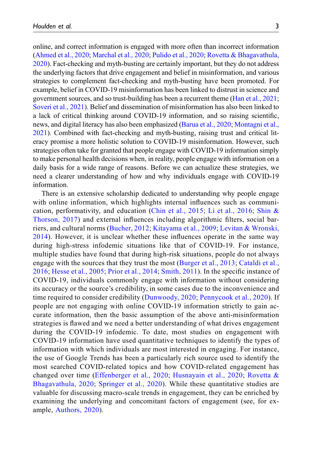online, and correct information is engaged with more often than incorrect information ([Ahmed et al., 2020](#page-18-3); [Marchal et al., 2020](#page-20-3); [Pulido et al., 2020](#page-21-0); [Rovetta & Bhagavathula,](#page-21-2) [2020\)](#page-21-2). Fact-checking and myth-busting are certainly important, but they do not address the underlying factors that drive engagement and belief in misinformation, and various strategies to complement fact-checking and myth-busting have been promoted. For example, belief in COVID-19 misinformation has been linked to distrust in science and government sources, and so trust-building has been a recurrent theme ([Han et al., 2021;](#page-19-1) [Soveri et al., 2021\)](#page-21-3). Belief and dissemination of misinformation has also been linked to a lack of critical thinking around COVID-19 information, and so raising scientific, news, and digital literacy has also been emphasized [\(Barua et al., 2020;](#page-18-4) [Montagni et al.,](#page-21-4) [2021\)](#page-21-4). Combined with fact-checking and myth-busting, raising trust and critical literacy promise a more holistic solution to COVID-19 misinformation. However, such strategies often take for granted that people engage with COVID-19 information simply to make personal health decisions when, in reality, people engage with information on a daily basis for a wide range of reasons. Before we can actualize these strategies, we need a clearer understanding of how and why individuals engage with COVID-19 information.

There is an extensive scholarship dedicated to understanding why people engage with online information, which highlights internal influences such as communication, performativity, and education [\(Chin et al., 2015;](#page-18-5) [Li et al., 2016](#page-20-4); [Shin &](#page-21-5) [Thorson, 2017\)](#page-21-5) and external influences including algorithmic filters, social barriers, and cultural norms [\(Bucher, 2012;](#page-18-6) [Kitayama et al., 2009;](#page-20-5) [Levitan & Wronski,](#page-20-6) [2014\)](#page-20-6). However, it is unclear whether these influences operate in the same way during high-stress infodemic situations like that of COVID-19. For instance, multiple studies have found that during high-risk situations, people do not always engage with the sources that they trust the most ([Burger et al., 2013;](#page-18-7) [Cataldi et al.,](#page-18-8) [2016;](#page-18-8) [Hesse et al., 2005](#page-19-2); [Prior et al., 2014](#page-21-6); [Smith, 2011](#page-21-7)). In the specific instance of COVID-19, individuals commonly engage with information without considering its accuracy or the source's credibility, in some cases due to the inconvenience and time required to consider credibility ([Dunwoody, 2020](#page-19-3); [Pennycook et al., 2020](#page-21-8)). If people are not engaging with online COVID-19 information strictly to gain accurate information, then the basic assumption of the above anti-misinformation strategies is flawed and we need a better understanding of what drives engagement during the COVID-19 infodemic. To date, most studies on engagement with COVID-19 information have used quantitative techniques to identify the types of information with which individuals are most interested in engaging. For instance, the use of Google Trends has been a particularly rich source used to identify the most searched COVID-related topics and how COVID-related engagement has changed over time [\(Effenberger et al., 2020;](#page-19-4) [Husnayain et al., 2020](#page-19-5); [Rovetta &](#page-21-2) [Bhagavathula, 2020](#page-21-2); [Springer et al., 2020\)](#page-22-1). While these quantitative studies are valuable for discussing macro-scale trends in engagement, they can be enriched by examining the underlying and concomitant factors of engagement (see, for example, [Authors, 2020](#page-18-9)).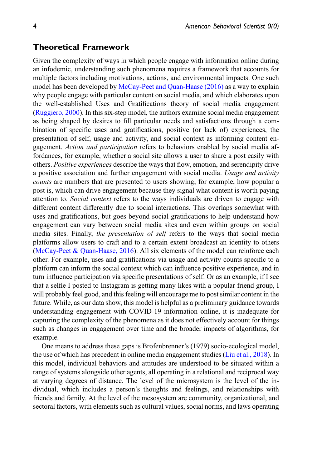### Theoretical Framework

Given the complexity of ways in which people engage with information online during an infodemic, understanding such phenomena requires a framework that accounts for multiple factors including motivations, actions, and environmental impacts. One such model has been developed by McCay-Peet and Quan-Haase  $(2016)$  as a way to explain why people engage with particular content on social media, and which elaborates upon the well-established Uses and Gratifications theory of social media engagement ([Ruggiero, 2000](#page-21-10)). In this six-step model, the authors examine social media engagement as being shaped by desires to fill particular needs and satisfactions through a combination of specific uses and gratifications, positive (or lack of) experiences, the presentation of self, usage and activity, and social context as informing content engagement. Action and participation refers to behaviors enabled by social media affordances, for example, whether a social site allows a user to share a post easily with others. Positive experiences describe the ways that flow, emotion, and serendipity drive a positive association and further engagement with social media. Usage and activity counts are numbers that are presented to users showing, for example, how popular a post is, which can drive engagement because they signal what content is worth paying attention to. *Social context* refers to the ways individuals are driven to engage with different content differently due to social interactions. This overlaps somewhat with uses and gratifications, but goes beyond social gratifications to help understand how engagement can vary between social media sites and even within groups on social media sites. Finally, the presentation of self refers to the ways that social media platforms allow users to craft and to a certain extent broadcast an identity to others ([McCay-Peet & Quan-Haase, 2016](#page-21-9)). All six elements of the model can reinforce each other. For example, uses and gratifications via usage and activity counts specific to a platform can inform the social context which can influence positive experience, and in turn influence participation via specific presentations of self. Or as an example, if I see that a selfie I posted to Instagram is getting many likes with a popular friend group, I will probably feel good, and this feeling will encourage me to post similar content in the future. While, as our data show, this model is helpful as a preliminary guidance towards understanding engagement with COVID-19 information online, it is inadequate for capturing the complexity of the phenomena as it does not effectively account for things such as changes in engagement over time and the broader impacts of algorithms, for example.

One means to address these gaps is Brofenbrenner's (1979) socio-ecological model, the use of which has precedent in online media engagement studies ([Liu et al., 2018](#page-20-7)). In this model, individual behaviors and attitudes are understood to be situated within a range of systems alongside other agents, all operating in a relational and reciprocal way at varying degrees of distance. The level of the microsystem is the level of the individual, which includes a person's thoughts and feelings, and relationships with friends and family. At the level of the mesosystem are community, organizational, and sectoral factors, with elements such as cultural values, social norms, and laws operating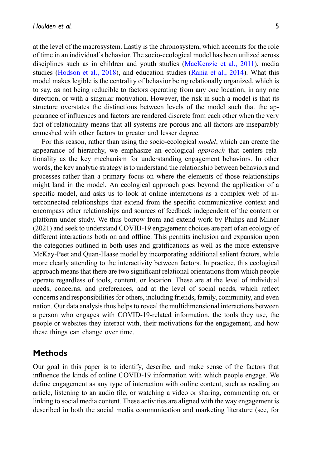at the level of the macrosystem. Lastly is the chronosystem, which accounts for the role of time in an individual's behavior. The socio-ecological model has been utilized across disciplines such as in children and youth studies [\(MacKenzie et al., 2011](#page-20-8)), media studies ([Hodson et al., 2018\)](#page-19-6), and education studies ([Rania et al., 2014\)](#page-21-11). What this model makes legible is the centrality of behavior being relationally organized, which is to say, as not being reducible to factors operating from any one location, in any one direction, or with a singular motivation. However, the risk in such a model is that its structure overstates the distinctions between levels of the model such that the appearance of influences and factors are rendered discrete from each other when the very fact of relationality means that all systems are porous and all factors are inseparably enmeshed with other factors to greater and lesser degree.

For this reason, rather than using the socio-ecological *model*, which can create the appearance of hierarchy, we emphasize an ecological *approach* that centers relationality as the key mechanism for understanding engagement behaviors. In other words, the key analytic strategy is to understand the relationship between behaviors and processes rather than a primary focus on where the elements of those relationships might land in the model. An ecological approach goes beyond the application of a specific model, and asks us to look at online interactions as a complex web of interconnected relationships that extend from the specific communicative context and encompass other relationships and sources of feedback independent of the content or platform under study. We thus borrow from and extend work by Philips and Milner (2021) and seek to understand COVID-19 engagement choices are part of an ecology of different interactions both on and offline. This permits inclusion and expansion upon the categories outlined in both uses and gratifications as well as the more extensive McKay-Peet and Quan-Haase model by incorporating additional salient factors, while more clearly attending to the interactivity between factors. In practice, this ecological approach means that there are two significant relational orientations from which people operate regardless of tools, content, or location. These are at the level of individual needs, concerns, and preferences, and at the level of social needs, which reflect concerns and responsibilities for others, including friends, family, community, and even nation. Our data analysis thus helps to reveal the multidimensional interactions between a person who engages with COVID-19-related information, the tools they use, the people or websites they interact with, their motivations for the engagement, and how these things can change over time.

#### **Methods**

Our goal in this paper is to identify, describe, and make sense of the factors that influence the kinds of online COVID-19 information with which people engage. We define engagement as any type of interaction with online content, such as reading an article, listening to an audio file, or watching a video or sharing, commenting on, or linking to social media content. These activities are aligned with the way engagement is described in both the social media communication and marketing literature (see, for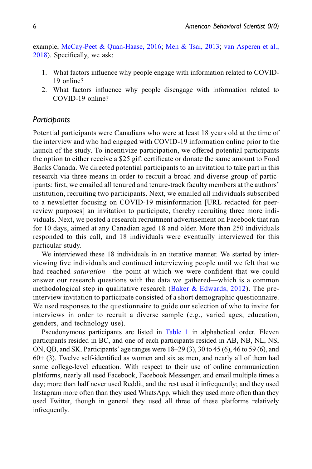example, [McCay-Peet & Quan-Haase, 2016](#page-21-9); [Men & Tsai, 2013;](#page-21-12) [van Asperen et al.,](#page-22-2) [2018\)](#page-22-2). Specifically, we ask:

- 1. What factors influence why people engage with information related to COVID-19 online?
- 2. What factors influence why people disengage with information related to COVID-19 online?

### **Participants**

Potential participants were Canadians who were at least 18 years old at the time of the interview and who had engaged with COVID-19 information online prior to the launch of the study. To incentivize participation, we offered potential participants the option to either receive a \$25 gift certificate or donate the same amount to Food Banks Canada. We directed potential participants to an invitation to take part in this research via three means in order to recruit a broad and diverse group of participants: first, we emailed all tenured and tenure-track faculty members at the authors' institution, recruiting two participants. Next, we emailed all individuals subscribed to a newsletter focusing on COVID-19 misinformation [URL redacted for peerreview purposes] an invitation to participate, thereby recruiting three more individuals. Next, we posted a research recruitment advertisement on Facebook that ran for 10 days, aimed at any Canadian aged 18 and older. More than 250 individuals responded to this call, and 18 individuals were eventually interviewed for this particular study.

We interviewed these 18 individuals in an iterative manner. We started by interviewing five individuals and continued interviewing people until we felt that we had reached saturation—the point at which we were confident that we could answer our research questions with the data we gathered—which is a common methodological step in qualitative research ([Baker & Edwards, 2012](#page-18-10)). The preinterview invitation to participate consisted of a short demographic questionnaire. We used responses to the questionnaire to guide our selection of who to invite for interviews in order to recruit a diverse sample (e.g., varied ages, education, genders, and technology use).

Pseudonymous participants are listed in [Table 1](#page-6-0) in alphabetical order. Eleven participants resided in BC, and one of each participants resided in AB, NB, NL, NS, ON, QB, and SK. Participants' age ranges were 18–29 (3), 30 to 45 (6), 46 to 59 (6), and  $60+$  (3). Twelve self-identified as women and six as men, and nearly all of them had some college-level education. With respect to their use of online communication platforms, nearly all used Facebook, Facebook Messenger, and email multiple times a day; more than half never used Reddit, and the rest used it infrequently; and they used Instagram more often than they used WhatsApp, which they used more often than they used Twitter, though in general they used all three of these platforms relatively infrequently.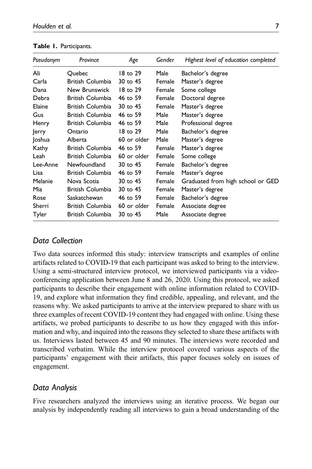| Pseudonym | Province                | Age         | Gender | Highest level of education completed |
|-----------|-------------------------|-------------|--------|--------------------------------------|
| Ali       | Quebec                  | 18 to 29    | Male   | Bachelor's degree                    |
| Carla     | British Columbia        | 30 to 45    | Female | Master's degree                      |
| Dana      | New Brunswick           | 18 to 29    | Female | Some college                         |
| Debra     | British Columbia        | 46 to 59    | Female | Doctoral degree                      |
| Elaine    | British Columbia        | 30 to 45    | Female | Master's degree                      |
| Gus       | British Columbia        | 46 to 59    | Male   | Master's degree                      |
| Henry     | British Columbia        | 46 to 59    | Male   | Professional degree                  |
| Jerry     | Ontario                 | 18 to 29    | Male   | Bachelor's degree                    |
| Joshua    | Alberta                 | 60 or older | Male   | Master's degree                      |
| Kathy     | British Columbia        | 46 to 59    | Female | Master's degree                      |
| Leah      | British Columbia        | 60 or older | Female | Some college                         |
| Lee-Anne  | Newfoundland            | 30 to 45    | Female | Bachelor's degree                    |
| Lisa      | <b>British Columbia</b> | 46 to 59    | Female | Master's degree                      |
| Melanie   | Nova Scotia             | 30 to 45    | Female | Graduated from high school or GED    |
| Mia       | British Columbia        | 30 to 45    | Female | Master's degree                      |
| Rose      | Saskatchewan            | 46 to 59    | Female | Bachelor's degree                    |
| Sherri    | British Columbia        | 60 or older | Female | Associate degree                     |
| Tyler     | British Columbia        | 30 to 45    | Male   | Associate degree                     |

<span id="page-6-0"></span>Table 1. Participants.

# Data Collection

Two data sources informed this study: interview transcripts and examples of online artifacts related to COVID-19 that each participant was asked to bring to the interview. Using a semi-structured interview protocol, we interviewed participants via a videoconferencing application between June 8 and 26, 2020. Using this protocol, we asked participants to describe their engagement with online information related to COVID-19, and explore what information they find credible, appealing, and relevant, and the reasons why. We asked participants to arrive at the interview prepared to share with us three examples of recent COVID-19 content they had engaged with online. Using these artifacts, we probed participants to describe to us how they engaged with this information and why, and inquired into the reasons they selected to share these artifacts with us. Interviews lasted between 45 and 90 minutes. The interviews were recorded and transcribed verbatim. While the interview protocol covered various aspects of the participants' engagement with their artifacts, this paper focuses solely on issues of engagement.

# Data Analysis

Five researchers analyzed the interviews using an iterative process. We began our analysis by independently reading all interviews to gain a broad understanding of the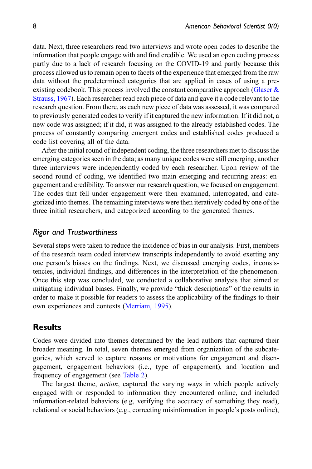data. Next, three researchers read two interviews and wrote open codes to describe the information that people engage with and find credible. We used an open coding process partly due to a lack of research focusing on the COVID-19 and partly because this process allowed us to remain open to facets of the experience that emerged from the raw data without the predetermined categories that are applied in cases of using a preexisting codebook. This process involved the constant comparative approach (Glaser  $\&$ [Strauss, 1967](#page-19-7)). Each researcher read each piece of data and gave it a code relevant to the research question. From there, as each new piece of data was assessed, it was compared to previously generated codes to verify if it captured the new information. If it did not, a new code was assigned; if it did, it was assigned to the already established codes. The process of constantly comparing emergent codes and established codes produced a code list covering all of the data.

After the initial round of independent coding, the three researchers met to discuss the emerging categories seen in the data; as many unique codes were still emerging, another three interviews were independently coded by each researcher. Upon review of the second round of coding, we identified two main emerging and recurring areas: engagement and credibility. To answer our research question, we focused on engagement. The codes that fell under engagement were then examined, interrogated, and categorized into themes. The remaining interviews were then iteratively coded by one of the three initial researchers, and categorized according to the generated themes.

#### Rigor and Trustworthiness

Several steps were taken to reduce the incidence of bias in our analysis. First, members of the research team coded interview transcripts independently to avoid exerting any one person's biases on the findings. Next, we discussed emerging codes, inconsistencies, individual findings, and differences in the interpretation of the phenomenon. Once this step was concluded, we conducted a collaborative analysis that aimed at mitigating individual biases. Finally, we provide "thick descriptions" of the results in order to make it possible for readers to assess the applicability of the findings to their own experiences and contexts [\(Merriam, 1995](#page-21-13)).

### **Results**

Codes were divided into themes determined by the lead authors that captured their broader meaning. In total, seven themes emerged from organization of the subcategories, which served to capture reasons or motivations for engagement and disengagement, engagement behaviors (i.e., type of engagement), and location and frequency of engagement (see [Table 2](#page-8-0)).

The largest theme, *action*, captured the varying ways in which people actively engaged with or responded to information they encountered online, and included information-related behaviors (e.g, verifying the accuracy of something they read), relational or social behaviors (e.g., correcting misinformation in people's posts online),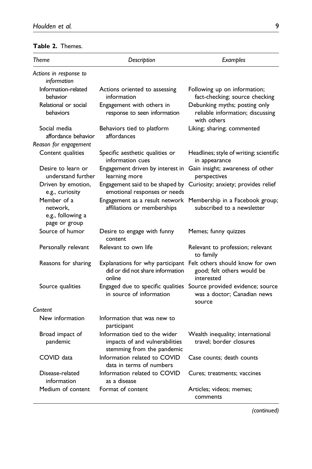### <span id="page-8-0"></span>Table 2. Themes.

| Theme                                                         | Description                                                                                   | Examples                                                                                                     |
|---------------------------------------------------------------|-----------------------------------------------------------------------------------------------|--------------------------------------------------------------------------------------------------------------|
| Actions in response to<br>information                         |                                                                                               |                                                                                                              |
| Information-related<br>behavior                               | Actions oriented to assessing<br>information                                                  | Following up on information;<br>fact-checking; source checking                                               |
| Relational or social<br>behaviors                             | Engagement with others in<br>response to seen information                                     | Debunking myths; posting only<br>reliable information; discussing<br>with others                             |
| Social media<br>affordance behavior                           | Behaviors tied to platform<br>affordances                                                     | Liking; sharing; commented                                                                                   |
| Reason for engagement                                         |                                                                                               |                                                                                                              |
| Content qualities                                             | Specific aesthetic qualities or<br>information cues                                           | Headlines; style of writing; scientific<br>in appearance                                                     |
| Desire to learn or<br>understand further                      | Engagement driven by interest in<br>learning more                                             | Gain insight; awareness of other<br>perspectives                                                             |
| Driven by emotion,<br>e.g., curiosity                         | Engagement said to be shaped by<br>emotional responses or needs                               | Curiosity; anxiety; provides relief                                                                          |
| Member of a<br>network.<br>e.g., following a<br>page or group | Engagement as a result network<br>affiliations or memberships                                 | Membership in a Facebook group;<br>subscribed to a newsletter                                                |
| Source of humor                                               | Desire to engage with funny<br>content                                                        | Memes; funny quizzes                                                                                         |
| Personally relevant                                           | Relevant to own life                                                                          | Relevant to profession; relevant<br>to family                                                                |
| Reasons for sharing                                           | did or did not share information<br>online                                                    | Explanations for why participant Felt others should know for own<br>good; felt others would be<br>interested |
| Source qualities                                              | in source of information                                                                      | Engaged due to specific qualities Source provided evidence; source<br>was a doctor: Canadian news<br>source  |
| Content                                                       |                                                                                               |                                                                                                              |
| New information                                               | Information that was new to<br>participant                                                    |                                                                                                              |
| Broad impact of<br>pandemic                                   | Information tied to the wider<br>impacts of and vulnerabilities<br>stemming from the pandemic | Wealth inequality; international<br>travel: border closures                                                  |
| COVID data                                                    | Information related to COVID<br>data in terms of numbers                                      | Case counts; death counts                                                                                    |
| Disease-related<br>information                                | Information related to COVID<br>as a disease                                                  | Cures; treatments; vaccines                                                                                  |
| Medium of content                                             | Format of content                                                                             | Articles; videos; memes;<br>comments                                                                         |

(continued)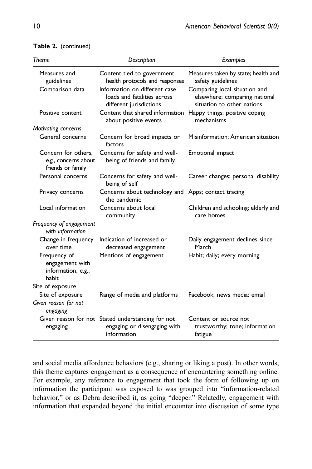| Theme                                                            | Description                                                                                      | Examples                                                                                     |
|------------------------------------------------------------------|--------------------------------------------------------------------------------------------------|----------------------------------------------------------------------------------------------|
| Measures and<br>guidelines                                       | Content tied to government<br>health protocols and responses                                     | Measures taken by state; health and<br>safety guidelines                                     |
| Comparison data                                                  | Information on different case<br>loads and fatalities across<br>different jurisdictions          | Comparing local situation and<br>elsewhere; comparing national<br>situation to other nations |
| Positive content                                                 | Content that shared information<br>about positive events                                         | Happy things; positive coping<br>mechanisms                                                  |
| Motivating concerns                                              |                                                                                                  |                                                                                              |
| General concerns                                                 | Concern for broad impacts or<br>factors                                                          | Misinformation; American situation                                                           |
| Concern for others.<br>e.g., concerns about<br>friends or family | Concerns for safety and well-<br>being of friends and family                                     | Emotional impact                                                                             |
| Personal concerns                                                | Concerns for safety and well-<br>being of self                                                   | Career changes; personal disability                                                          |
| Privacy concerns                                                 | Concerns about technology and Apps; contact tracing<br>the pandemic                              |                                                                                              |
| Local information                                                | Concerns about local<br>community                                                                | Children and schooling; elderly and<br>care homes                                            |
| Frequency of engagement<br>with information                      |                                                                                                  |                                                                                              |
| Change in frequency<br>over time                                 | Indication of increased or<br>decreased engagement                                               | Daily engagement declines since<br>March                                                     |
| Frequency of<br>engagement with<br>information, e.g.,<br>habit   | Mentions of engagement                                                                           | Habit; daily; every morning                                                                  |
| Site of exposure                                                 |                                                                                                  |                                                                                              |
| Site of exposure                                                 | Range of media and platforms                                                                     | Facebook; news media; email                                                                  |
| Given reason for not<br>engaging                                 |                                                                                                  |                                                                                              |
| engaging                                                         | Given reason for not Stated understanding for not<br>engaging or disengaging with<br>information | Content or source not<br>trustworthy; tone; information<br>fatigue                           |

#### Table 2. (continued)

and social media affordance behaviors (e.g., sharing or liking a post). In other words, this theme captures engagement as a consequence of encountering something online. For example, any reference to engagement that took the form of following up on information the participant was exposed to was grouped into "information-related behavior," or as Debra described it, as going "deeper." Relatedly, engagement with information that expanded beyond the initial encounter into discussion of some type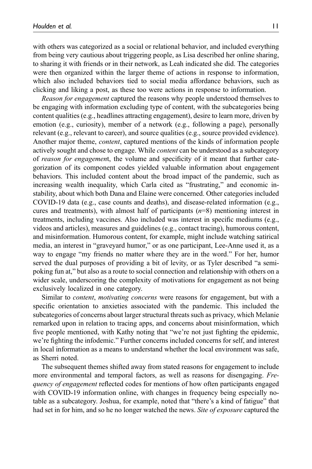with others was categorized as a social or relational behavior, and included everything from being very cautious about triggering people, as Lisa described her online sharing, to sharing it with friends or in their network, as Leah indicated she did. The categories were then organized within the larger theme of actions in response to information, which also included behaviors tied to social media affordance behaviors, such as clicking and liking a post, as these too were actions in response to information.

Reason for engagement captured the reasons why people understood themselves to be engaging with information excluding type of content, with the subcategories being content qualities (e.g., headlines attracting engagement), desire to learn more, driven by emotion (e.g., curiosity), member of a network (e.g., following a page), personally relevant (e.g., relevant to career), and source qualities (e.g., source provided evidence). Another major theme, content, captured mentions of the kinds of information people actively sought and chose to engage. While *content* can be understood as a subcategory of reason for engagement, the volume and specificity of it meant that further categorization of its component codes yielded valuable information about engagement behaviors. This included content about the broad impact of the pandemic, such as increasing wealth inequality, which Carla cited as "frustrating," and economic instability, about which both Dana and Elaine were concerned. Other categories included COVID-19 data (e.g., case counts and deaths), and disease-related information (e.g., cures and treatments), with almost half of participants  $(n=8)$  mentioning interest in treatments, including vaccines. Also included was interest in specific mediums (e.g., videos and articles), measures and guidelines (e.g., contact tracing), humorous content, and misinformation. Humorous content, for example, might include watching satirical media, an interest in "graveyard humor," or as one participant, Lee-Anne used it, as a way to engage "my friends no matter where they are in the word." For her, humor served the dual purposes of providing a bit of levity, or as Tyler described "a semipoking fun at," but also as a route to social connection and relationship with others on a wider scale, underscoring the complexity of motivations for engagement as not being exclusively localized in one category.

Similar to *content, motivating concerns* were reasons for engagement, but with a specific orientation to anxieties associated with the pandemic. This included the subcategories of concerns about larger structural threats such as privacy, which Melanie remarked upon in relation to tracing apps, and concerns about misinformation, which five people mentioned, with Kathy noting that "we're not just fighting the epidemic, we're fighting the infodemic." Further concerns included concerns for self, and interest in local information as a means to understand whether the local environment was safe, as Sherri noted.

The subsequent themes shifted away from stated reasons for engagement to include more environmental and temporal factors, as well as reasons for disengaging. Frequency of engagement reflected codes for mentions of how often participants engaged with COVID-19 information online, with changes in frequency being especially notable as a subcategory. Joshua, for example, noted that "there's a kind of fatigue" that had set in for him, and so he no longer watched the news. Site of exposure captured the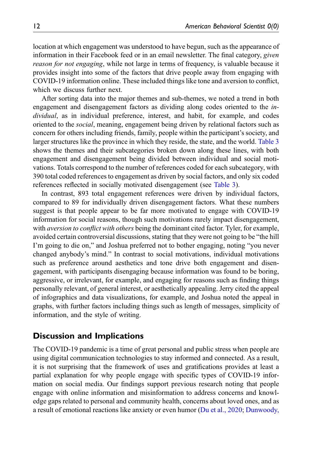location at which engagement was understood to have begun, such as the appearance of information in their Facebook feed or in an email newsletter. The final category, *given* reason for not engaging, while not large in terms of frequency, is valuable because it provides insight into some of the factors that drive people away from engaging with COVID-19 information online. These included things like tone and aversion to conflict, which we discuss further next.

After sorting data into the major themes and sub-themes, we noted a trend in both engagement and disengagement factors as dividing along codes oriented to the individual, as in individual preference, interest, and habit, for example, and codes oriented to the *social*, meaning, engagement being driven by relational factors such as concern for others including friends, family, people within the participant's society, and larger structures like the province in which they reside, the state, and the world. [Table 3](#page-12-0) shows the themes and their subcategories broken down along these lines, with both engagement and disengagement being divided between individual and social motivations. Totals correspond to the number of references coded for each subcategory, with 390 total coded references to engagement as driven by social factors, and only six coded references reflected in socially motivated disengagement (see [Table 3](#page-12-0)).

In contrast, 893 total engagement references were driven by individual factors, compared to 89 for individually driven disengagement factors. What these numbers suggest is that people appear to be far more motivated to engage with COVID-19 information for social reasons, though such motivations rarely impact disengagement, with *aversion to conflict with others* being the dominant cited factor. Tyler, for example, avoided certain controversial discussions, stating that they were not going to be "the hill I'm going to die on," and Joshua preferred not to bother engaging, noting "you never changed anybody's mind." In contrast to social motivations, individual motivations such as preference around aesthetics and tone drive both engagement and disengagement, with participants disengaging because information was found to be boring, aggressive, or irrelevant, for example, and engaging for reasons such as finding things personally relevant, of general interest, or aesthetically appealing. Jerry cited the appeal of infographics and data visualizations, for example, and Joshua noted the appeal in graphs, with further factors including things such as length of messages, simplicity of information, and the style of writing.

### Discussion and Implications

The COVID-19 pandemic is a time of great personal and public stress when people are using digital communication technologies to stay informed and connected. As a result, it is not surprising that the framework of uses and gratifications provides at least a partial explanation for why people engage with specific types of COVID-19 information on social media. Our findings support previous research noting that people engage with online information and misinformation to address concerns and knowledge gaps related to personal and community health, concerns about loved ones, and as a result of emotional reactions like anxiety or even humor [\(Du et al., 2020](#page-19-8); [Dunwoody,](#page-19-3)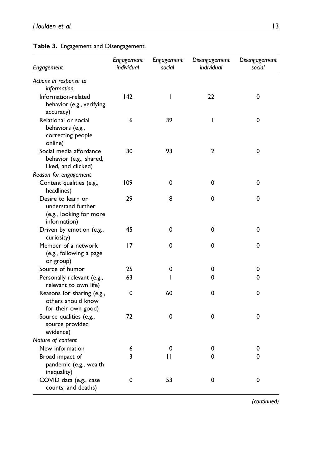| Engagement                                                                          | Engagement<br>individual | Engagement<br>social | Disengagement<br>individual | Disengagement<br>social |
|-------------------------------------------------------------------------------------|--------------------------|----------------------|-----------------------------|-------------------------|
| Actions in response to                                                              |                          |                      |                             |                         |
| information                                                                         |                          |                      |                             |                         |
| Information-related<br>behavior (e.g., verifying<br>accuracy)                       | 142                      | $\overline{1}$       | 22                          | 0                       |
| Relational or social<br>behaviors (e.g.,<br>correcting people<br>online)            | 6                        | 39                   | T                           | 0                       |
| Social media affordance<br>behavior (e.g., shared,<br>liked, and clicked)           | 30                       | 93                   | $\mathbf{2}$                | 0                       |
| Reason for engagement                                                               |                          |                      |                             |                         |
| Content qualities (e.g.,<br>headlines)                                              | 109                      | 0                    | 0                           | 0                       |
| Desire to learn or<br>understand further<br>(e.g., looking for more<br>information) | 29                       | 8                    | 0                           | 0                       |
| Driven by emotion (e.g.,<br>curiosity)                                              | 45                       | 0                    | 0                           | 0                       |
| Member of a network<br>(e.g., following a page<br>or group)                         | 17                       | 0                    | 0                           | 0                       |
| Source of humor                                                                     | 25                       | 0                    | 0                           | 0                       |
| Personally relevant (e.g.,<br>relevant to own life)                                 | 63                       | ı                    | 0                           | 0                       |
| Reasons for sharing (e.g.,<br>others should know<br>for their own good)             | 0                        | 60                   | 0                           | 0                       |
| Source qualities (e.g.,<br>source provided<br>evidence)                             | 72                       | 0                    | 0                           | 0                       |
| Nature of content                                                                   |                          |                      |                             |                         |
| New information                                                                     | 6                        | 0                    | 0                           | 0                       |
| Broad impact of<br>pandemic (e.g., wealth<br>inequality)                            | 3                        | п                    | 0                           | 0                       |
| COVID data (e.g., case<br>counts, and deaths)                                       | 0                        | 53                   | 0                           | 0                       |

### <span id="page-12-0"></span>Table 3. Engagement and Disengagement.

(continued)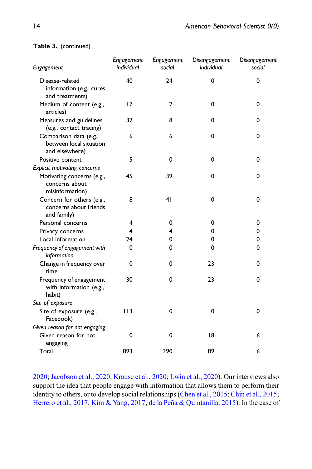| Engagement                                                          | Engagement<br>individual | Engagement<br>social | Disengagement<br>individual | Disengagement<br>social |
|---------------------------------------------------------------------|--------------------------|----------------------|-----------------------------|-------------------------|
| Disease-related<br>information (e.g., cures<br>and treatments)      | 40                       | 24                   | $\mathbf 0$                 | 0                       |
| Medium of content (e.g.,<br>articles)                               | 17                       | $\mathbf{2}$         | 0                           | 0                       |
| Measures and guidelines<br>(e.g., contact tracing)                  | 32                       | 8                    | 0                           | 0                       |
| Comparison data (e.g.,<br>between local situation<br>and elsewhere) | 6                        | 6                    | $\mathbf 0$                 | 0                       |
| Positive content                                                    | 5                        | 0                    | 0                           | 0                       |
| Explicit motivating concerns                                        |                          |                      |                             |                         |
| Motivating concerns (e.g.,<br>concerns about<br>misinformation)     | 45                       | 39                   | 0                           | 0                       |
| Concern for others (e.g.,<br>concerns about friends<br>and family)  | 8                        | 41                   | 0                           | 0                       |
| Personal concerns                                                   | 4                        | 0                    | 0                           | 0                       |
| Privacy concerns                                                    | 4                        | 4                    | 0                           | 0                       |
| Local information                                                   | 24                       | 0                    | 0                           | 0                       |
| Frequency of engagement with<br>information                         | 0                        | 0                    | 0                           | 0                       |
| Change in frequency over<br>time                                    | 0                        | 0                    | 23                          | 0                       |
| Frequency of engagement<br>with information (e.g.,<br>habit)        | 30                       | 0                    | 23                          | 0                       |
| Site of exposure                                                    |                          |                      |                             |                         |
| Site of exposure (e.g.,<br>Facebook)                                | 113                      | 0                    | 0                           | 0                       |
| Given reason for not engaging                                       |                          |                      |                             |                         |
| Given reason for not<br>engaging                                    | 0                        | 0                    | 18                          | 6                       |
| Total                                                               | 893                      | 390                  | 89                          | 6                       |

#### Table 3. (continued)

[2020;](#page-19-3) [Jacobson et al., 2020](#page-20-9); [Krause et al., 2020;](#page-20-10) [Lwin et al., 2020\)](#page-20-11). Our interviews also support the idea that people engage with information that allows them to perform their identity to others, or to develop social relationships [\(Chen et al., 2015;](#page-18-11) [Chin et al., 2015;](#page-18-5) [Herrero et al., 2017;](#page-19-9) [Kim & Yang, 2017](#page-20-12); [de la Peña & Quintanilla, 2015\)](#page-19-10). In the case of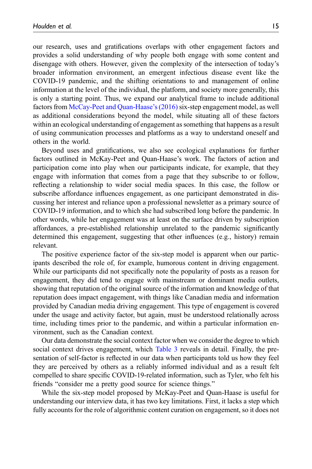our research, uses and gratifications overlaps with other engagement factors and provides a solid understanding of why people both engage with some content and disengage with others. However, given the complexity of the intersection of today's broader information environment, an emergent infectious disease event like the COVID-19 pandemic, and the shifting orientations to and management of online information at the level of the individual, the platform, and society more generally, this is only a starting point. Thus, we expand our analytical frame to include additional factors from [McCay-Peet and Quan-Haase](#page-21-9)'s (2016) six-step engagement model, as well as additional considerations beyond the model, while situating all of these factors within an ecological understanding of engagement as something that happens as a result of using communication processes and platforms as a way to understand oneself and others in the world.

Beyond uses and gratifications, we also see ecological explanations for further factors outlined in McKay-Peet and Quan-Haase's work. The factors of action and participation come into play when our participants indicate, for example, that they engage with information that comes from a page that they subscribe to or follow, reflecting a relationship to wider social media spaces. In this case, the follow or subscribe affordance influences engagement, as one participant demonstrated in discussing her interest and reliance upon a professional newsletter as a primary source of COVID-19 information, and to which she had subscribed long before the pandemic. In other words, while her engagement was at least on the surface driven by subscription affordances, a pre-established relationship unrelated to the pandemic significantly determined this engagement, suggesting that other influences (e.g., history) remain relevant.

The positive experience factor of the six-step model is apparent when our participants described the role of, for example, humorous content in driving engagement. While our participants did not specifically note the popularity of posts as a reason for engagement, they did tend to engage with mainstream or dominant media outlets, showing that reputation of the original source of the information and knowledge of that reputation does impact engagement, with things like Canadian media and information provided by Canadian media driving engagement. This type of engagement is covered under the usage and activity factor, but again, must be understood relationally across time, including times prior to the pandemic, and within a particular information environment, such as the Canadian context.

Our data demonstrate the social context factor when we consider the degree to which social context drives engagement, which [Table 3](#page-12-0) reveals in detail. Finally, the presentation of self-factor is reflected in our data when participants told us how they feel they are perceived by others as a reliably informed individual and as a result felt compelled to share specific COVID-19-related information, such as Tyler, who felt his friends "consider me a pretty good source for science things."

While the six-step model proposed by McKay-Peet and Quan-Haase is useful for understanding our interview data, it has two key limitations. First, it lacks a step which fully accounts for the role of algorithmic content curation on engagement, so it does not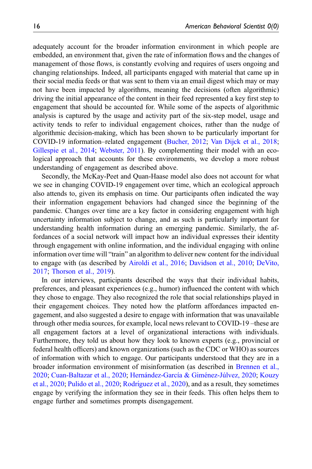adequately account for the broader information environment in which people are embedded, an environment that, given the rate of information flows and the changes of management of those flows, is constantly evolving and requires of users ongoing and changing relationships. Indeed, all participants engaged with material that came up in their social media feeds or that was sent to them via an email digest which may or may not have been impacted by algorithms, meaning the decisions (often algorithmic) driving the initial appearance of the content in their feed represented a key first step to engagement that should be accounted for. While some of the aspects of algorithmic analysis is captured by the usage and activity part of the six-step model, usage and activity tends to refer to individual engagement choices, rather than the nudge of algorithmic decision-making, which has been shown to be particularly important for COVID-19 information–related engagement ([Bucher, 2012;](#page-18-6) [Van Dijck et al., 2018;](#page-22-3) [Gillespie et al., 2014](#page-19-11); [Webster, 2011](#page-22-4)). By complementing their model with an ecological approach that accounts for these environments, we develop a more robust understanding of engagement as described above.

Secondly, the McKay-Peet and Quan-Haase model also does not account for what we see in changing COVID-19 engagement over time, which an ecological approach also attends to, given its emphasis on time. Our participants often indicated the way their information engagement behaviors had changed since the beginning of the pandemic. Changes over time are a key factor in considering engagement with high uncertainty information subject to change, and as such is particularly important for understanding health information during an emerging pandemic. Similarly, the affordances of a social network will impact how an individual expresses their identity through engagement with online information, and the individual engaging with online information over time will "train" an algorithm to deliver new content for the individual to engage with (as described by [Airoldi et al., 2016;](#page-18-12) [Davidson et al., 2010](#page-18-13); [DeVito,](#page-19-12) [2017;](#page-19-12) [Thorson et al., 2019\)](#page-22-5).

In our interviews, participants described the ways that their individual habits, preferences, and pleasant experiences (e.g., humor) influenced the content with which they chose to engage. They also recognized the role that social relationships played in their engagement choices. They noted how the platform affordances impacted engagement, and also suggested a desire to engage with information that was unavailable through other media sources, for example, local news relevant to COVID-19 –these are all engagement factors at a level of organizational interactions with individuals. Furthermore, they told us about how they look to known experts (e.g., provincial or federal health officers) and known organizations (such as the CDC or WHO) as sources of information with which to engage. Our participants understood that they are in a broader information environment of misinformation (as described in [Brennen et al.,](#page-18-0) [2020;](#page-18-0) [Cuan-Baltazar et al., 2020;](#page-18-1) Hernández-García & Giménez-Júlvez, 2020; [Kouzy](#page-20-0) [et al., 2020](#page-20-0); [Pulido et al., 2020](#page-21-0); Rodrí[guez et al., 2020](#page-21-1)), and as a result, they sometimes engage by verifying the information they see in their feeds. This often helps them to engage further and sometimes prompts disengagement.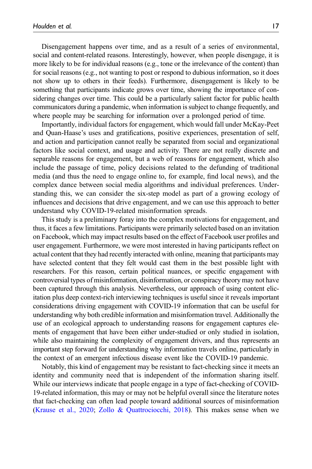Disengagement happens over time, and as a result of a series of environmental, social and content-related reasons. Interestingly, however, when people disengage, it is more likely to be for individual reasons (e.g., tone or the irrelevance of the content) than for social reasons (e.g., not wanting to post or respond to dubious information, so it does not show up to others in their feeds). Furthermore, disengagement is likely to be something that participants indicate grows over time, showing the importance of considering changes over time. This could be a particularly salient factor for public health communicators during a pandemic, when information is subject to change frequently, and where people may be searching for information over a prolonged period of time.

Importantly, individual factors for engagement, which would fall under McKay-Peet and Quan-Haase's uses and gratifications, positive experiences, presentation of self, and action and participation cannot really be separated from social and organizational factors like social context, and usage and activity. There are not really discrete and separable reasons for engagement, but a web of reasons for engagement, which also include the passage of time, policy decisions related to the defunding of traditional media (and thus the need to engage online to, for example, find local news), and the complex dance between social media algorithms and individual preferences. Understanding this, we can consider the six-step model as part of a growing ecology of influences and decisions that drive engagement, and we can use this approach to better understand why COVID-19-related misinformation spreads.

This study is a preliminary foray into the complex motivations for engagement, and thus, it faces a few limitations. Participants were primarily selected based on an invitation on Facebook, which may impact results based on the effect of Facebook user profiles and user engagement. Furthermore, we were most interested in having participants reflect on actual content that they had recently interacted with online, meaning that participants may have selected content that they felt would cast them in the best possible light with researchers. For this reason, certain political nuances, or specific engagement with controversial types of misinformation, disinformation, or conspiracy theory may not have been captured through this analysis. Nevertheless, our approach of using content elicitation plus deep context-rich interviewing techniques is useful since it reveals important considerations driving engagement with COVID-19 information that can be useful for understanding why both credible information and misinformation travel. Additionally the use of an ecological approach to understanding reasons for engagement captures elements of engagement that have been either under-studied or only studied in isolation, while also maintaining the complexity of engagement drivers, and thus represents an important step forward for understanding why information travels online, particularly in the context of an emergent infectious disease event like the COVID-19 pandemic.

Notably, this kind of engagement may be resistant to fact-checking since it meets an identity and community need that is independent of the information sharing itself. While our interviews indicate that people engage in a type of fact-checking of COVID-19-related information, this may or may not be helpful overall since the literature notes that fact-checking can often lead people toward additional sources of misinformation ([Krause et al., 2020;](#page-20-10) [Zollo & Quattrociocchi, 2018\)](#page-22-6). This makes sense when we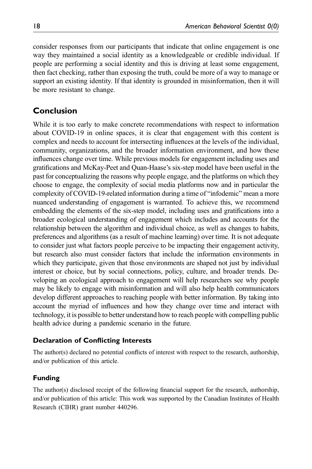consider responses from our participants that indicate that online engagement is one way they maintained a social identity as a knowledgeable or credible individual. If people are performing a social identity and this is driving at least some engagement, then fact checking, rather than exposing the truth, could be more of a way to manage or support an existing identity. If that identity is grounded in misinformation, then it will be more resistant to change.

## Conclusion

While it is too early to make concrete recommendations with respect to information about COVID-19 in online spaces, it is clear that engagement with this content is complex and needs to account for intersecting influences at the levels of the individual, community, organizations, and the broader information environment, and how these influences change over time. While previous models for engagement including uses and gratifications and McKay-Peet and Quan-Haase's six-step model have been useful in the past for conceptualizing the reasons why people engage, and the platforms on which they choose to engage, the complexity of social media platforms now and in particular the complexity of COVID-19-related information during a time of "infodemic" mean a more nuanced understanding of engagement is warranted. To achieve this, we recommend embedding the elements of the six-step model, including uses and gratifications into a broader ecological understanding of engagement which includes and accounts for the relationship between the algorithm and individual choice, as well as changes to habits, preferences and algorithms (as a result of machine learning) over time. It is not adequate to consider just what factors people perceive to be impacting their engagement activity, but research also must consider factors that include the information environments in which they participate, given that those environments are shaped not just by individual interest or choice, but by social connections, policy, culture, and broader trends. Developing an ecological approach to engagement will help researchers see why people may be likely to engage with misinformation and will also help health communicators develop different approaches to reaching people with better information. By taking into account the myriad of influences and how they change over time and interact with technology, it is possible to better understand how to reach people with compelling public health advice during a pandemic scenario in the future.

#### Declaration of Conflicting Interests

The author(s) declared no potential conflicts of interest with respect to the research, authorship, and/or publication of this article.

#### Funding

The author(s) disclosed receipt of the following financial support for the research, authorship, and/or publication of this article: This work was supported by the Canadian Institutes of Health Research (CIHR) grant number 440296.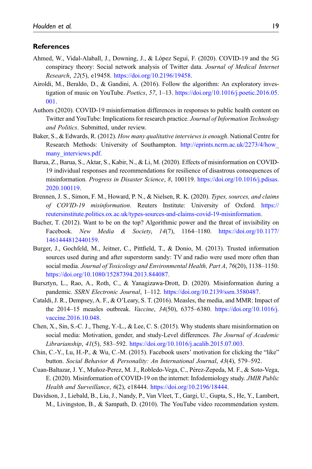#### **References**

- <span id="page-18-3"></span>Ahmed, W., Vidal-Alaball, J., Downing, J., & López Seguí, F. (2020). COVID-19 and the 5G conspiracy theory: Social network analysis of Twitter data. Journal of Medical Internet Research, 22(5), e19458. [https://doi.org/10.2196/19458.](https://doi.org/10.2196/19458)
- <span id="page-18-12"></span>Airoldi, M., Beraldo, D., & Gandini, A. (2016). Follow the algorithm: An exploratory investigation of music on YouTube. Poetics, 57, 1–13. [https://doi.org/10.1016/j.poetic.2016.05.](https://doi.org/10.1016/j.poetic.2016.05.001) [001](https://doi.org/10.1016/j.poetic.2016.05.001).
- <span id="page-18-9"></span>Authors (2020). COVID-19 misinformation differences in responses to public health content on Twitter and YouTube: Implications for research practice. Journal of Information Technology and Politics. Submitted, under review.
- <span id="page-18-10"></span>Baker, S., & Edwards, R. (2012). How many qualitative interviews is enough. National Centre for Research Methods: University of Southampton. [http://eprints.ncrm.ac.uk/2273/4/how\\_](http://eprints.ncrm.ac.uk/2273/4/how_many_interviews.pdf) many interviews.pdf.
- <span id="page-18-4"></span>Barua, Z., Barua, S., Aktar, S., Kabir, N., & Li, M. (2020). Effects of misinformation on COVID-19 individual responses and recommendations for resilience of disastrous consequences of misinformation. Progress in Disaster Science, 8, 100119. [https://doi.org/10.1016/j.pdisas.](https://doi.org/10.1016/j.pdisas.2020.100119) [2020.100119](https://doi.org/10.1016/j.pdisas.2020.100119).
- <span id="page-18-0"></span>Brennen, J. S., Simon, F. M., Howard, P. N., & Nielsen, R. K. (2020). Types, sources, and claims of COVID-19 misinformation. Reuters Institute: University of Oxford. [https://](https://reutersinstitute.politics.ox.ac.uk/types-sources-and-claims-covid-19-misinformation) [reutersinstitute.politics.ox.ac.uk/types-sources-and-claims-covid-19-misinformation](https://reutersinstitute.politics.ox.ac.uk/types-sources-and-claims-covid-19-misinformation).
- <span id="page-18-6"></span>Bucher, T. (2012). Want to be on the top? Algorithmic power and the threat of invisibility on Facebook. New Media & Society,  $14(7)$ ,  $1164-1180$ . [https://doi.org/10.1177/](https://doi.org/10.1177/1461444812440159) [1461444812440159](https://doi.org/10.1177/1461444812440159).
- <span id="page-18-7"></span>Burger, J., Gochfeld, M., Jeitner, C., Pittfield, T., & Donio, M. (2013). Trusted information sources used during and after superstorm sandy: TV and radio were used more often than social media. Journal of Toxicology and Environmental Health, Part A, 76(20), 1138-1150. [https://doi.org/10.1080/15287394.2013.844087.](https://doi.org/10.1080/15287394.2013.844087)
- <span id="page-18-2"></span>Bursztyn, L., Rao, A., Roth, C., & Yanagizawa-Drott, D. (2020). Misinformation during a pandemic. SSRN Electronic Journal, 1–112. <https://doi.org/10.2139/ssrn.3580487>.
- <span id="page-18-8"></span>Cataldi, J. R., Dempsey, A. F., & O'Leary, S. T. (2016). Measles, the media, and MMR: Impact of the 2014–15 measles outbreak. Vaccine, 34(50), 6375–6380. [https://doi.org/10.1016/j.](https://doi.org/10.1016/j.vaccine.2016.10.048) [vaccine.2016.10.048.](https://doi.org/10.1016/j.vaccine.2016.10.048)
- <span id="page-18-11"></span>Chen, X., Sin, S.-C. J., Theng, Y.-L., & Lee, C. S. (2015). Why students share misinformation on social media: Motivation, gender, and study-Level differences. The Journal of Academic Librarianship, 41(5), 583–592. <https://doi.org/10.1016/j.acalib.2015.07.003>.
- <span id="page-18-5"></span>Chin, C.-Y., Lu, H.-P., & Wu, C.-M. (2015). Facebook users' motivation for clicking the "like" button. Social Behavior & Personality: An International Journal, 43(4), 579–592.
- <span id="page-18-1"></span>Cuan-Baltazar, J. Y., Muñoz-Perez, M. J., Robledo-Vega, C., Perez-Zepeda, M. F., & Soto-Vega, ´ E. (2020). Misinformation of COVID-19 on the internet: Infodemiology study. JMIR Public Health and Surveillance, 6(2), e18444. [https://doi.org/10.2196/18444.](https://doi.org/10.2196/18444)
- <span id="page-18-13"></span>Davidson, J., Liebald, B., Liu, J., Nandy, P., Van Vleet, T., Gargi, U., Gupta, S., He, Y., Lambert, M., Livingston, B., & Sampath, D. (2010). The YouTube video recommendation system.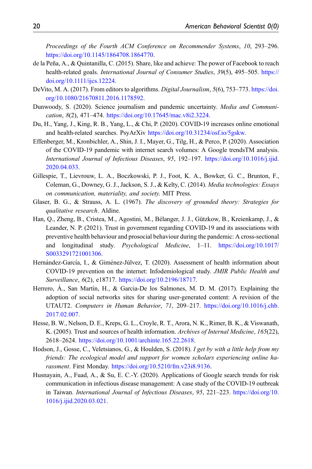Proceedings of the Fourth ACM Conference on Recommender Systems, 10, 293–296. <https://doi.org/10.1145/1864708.1864770>.

- <span id="page-19-10"></span>de la Peña, A., & Quintanilla, C. (2015). Share, like and achieve: The power of Facebook to reach health-related goals. International Journal of Consumer Studies, 39(5), 495–505. [https://](https://doi.org/10.1111/ijcs.12224) [doi.org/10.1111/ijcs.12224](https://doi.org/10.1111/ijcs.12224).
- <span id="page-19-12"></span>DeVito, M. A. (2017). From editors to algorithms. Digital Journalism, 5(6), 753–773. [https://doi.](https://doi.org/10.1080/21670811.2016.1178592) [org/10.1080/21670811.2016.1178592](https://doi.org/10.1080/21670811.2016.1178592).
- <span id="page-19-3"></span>Dunwoody, S. (2020). Science journalism and pandemic uncertainty. Media and Communication, 8(2), 471–474. <https://doi.org/10.17645/mac.v8i2.3224>.
- <span id="page-19-8"></span>Du, H., Yang, J., King, R. B., Yang, L., & Chi, P. (2020). COVID-19 increases online emotional and health-related searches. PsyArXiv [https://doi.org/10.31234/osf.io/5gskw.](https://doi.org/10.31234/osf.io/5gskw)
- <span id="page-19-4"></span>Effenberger, M., Kronbichler, A., Shin, J. I., Mayer, G., Tilg, H., & Perco, P. (2020). Association of the COVID-19 pandemic with internet search volumes: A Google trendsTM analysis. International Journal of Infectious Diseases, 95, 192–197. [https://doi.org/10.1016/j.ijid.](https://doi.org/10.1016/j.ijid.2020.04.033) [2020.04.033](https://doi.org/10.1016/j.ijid.2020.04.033).
- <span id="page-19-11"></span>Gillespie, T., Lievrouw, L. A., Boczkowski, P. J., Foot, K. A., Bowker, G. C., Brunton, F., Coleman, G., Downey, G. J., Jackson, S. J., & Kelty, C. (2014). Media technologies: Essays on communication, materiality, and society. MIT Press.
- <span id="page-19-7"></span>Glaser, B. G., & Strauss, A. L. (1967). The discovery of grounded theory: Strategies for qualitative research. Aldine.
- <span id="page-19-1"></span>Han, Q., Zheng, B., Cristea, M., Agostini, M., Belanger, J. J., Gützkow, B., Kreienkamp, J., & ´ Leander, N. P. (2021). Trust in government regarding COVID-19 and its associations with preventive health behaviour and prosocial behaviour during the pandemic: A cross-sectional and longitudinal study. Psychological Medicine, 1–11. [https://doi.org/10.1017/](https://doi.org/10.1017/S0033291721001306) [S0033291721001306](https://doi.org/10.1017/S0033291721001306).
- <span id="page-19-0"></span>Hernández-García, I., & Giménez-Júlvez, T. (2020). Assessment of health information about COVID-19 prevention on the internet: Infodemiological study. JMIR Public Health and Surveillance, 6(2), e18717. <https://doi.org/10.2196/18717>.
- <span id="page-19-9"></span>Herrero,  $\AA$ ., San Martín, H., & Garcia-De los Salmones, M. D. M. (2017). Explaining the adoption of social networks sites for sharing user-generated content: A revision of the UTAUT2. Computers in Human Behavior, 71, 209–217. [https://doi.org/10.1016/j.chb.](https://doi.org/10.1016/j.chb.2017.02.007) [2017.02.007](https://doi.org/10.1016/j.chb.2017.02.007).
- <span id="page-19-2"></span>Hesse, B. W., Nelson, D. E., Kreps, G. L., Croyle, R. T., Arora, N. K., Rimer, B. K., & Viswanath, K. (2005). Trust and sources of health information. Archives of Internal Medicine, 165(22), 2618–2624. [https://doi.org/10.1001/archinte.165.22.2618.](https://doi.org/10.1001/archinte.165.22.2618)
- <span id="page-19-6"></span>Hodson, J., Gosse, C., Veletsianos, G., & Houlden, S. (2018). I get by with a little help from my friends: The ecological model and support for women scholars experiencing online harassment. First Monday. <https://doi.org/10.5210/fm.v23i8.9136>.
- <span id="page-19-5"></span>Husnayain, A., Fuad, A., & Su, E. C.-Y. (2020). Applications of Google search trends for risk communication in infectious disease management: A case study of the COVID-19 outbreak in Taiwan. International Journal of Infectious Diseases, 95, 221–223. [https://doi.org/10.](https://doi.org/10.1016/j.ijid.2020.03.021) [1016/j.ijid.2020.03.021](https://doi.org/10.1016/j.ijid.2020.03.021).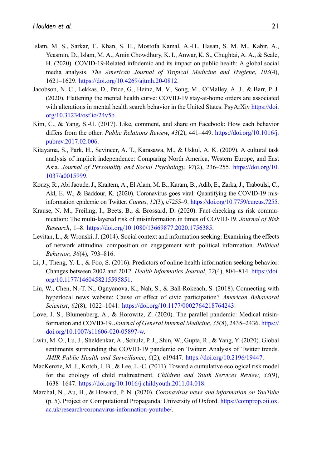- <span id="page-20-2"></span>Islam, M. S., Sarkar, T., Khan, S. H., Mostofa Kamal, A.-H., Hasan, S. M. M., Kabir, A., Yeasmin, D., Islam, M. A., Amin Chowdhury, K. I., Anwar, K. S., Chughtai, A. A., & Seale, H. (2020). COVID-19-Related infodemic and its impact on public health: A global social media analysis. The American Journal of Tropical Medicine and Hygiene, 103(4), 1621–1629. <https://doi.org/10.4269/ajtmh.20-0812>.
- <span id="page-20-9"></span>Jacobson, N. C., Lekkas, D., Price, G., Heinz, M. V., Song, M., O'Malley, A. J., & Barr, P. J. (2020). Flattening the mental health curve: COVID-19 stay-at-home orders are associated with alterations in mental health search behavior in the United States. PsyArXiv [https://doi.](https://doi.org/10.31234/osf.io/24v5b) [org/10.31234/osf.io/24v5b.](https://doi.org/10.31234/osf.io/24v5b)
- <span id="page-20-12"></span>Kim, C., & Yang, S.-U. (2017). Like, comment, and share on Facebook: How each behavior differs from the other. *Public Relations Review, 43(2)*, 441–449. [https://doi.org/10.1016/j.](https://doi.org/10.1016/j.pubrev.2017.02.006) [pubrev.2017.02.006.](https://doi.org/10.1016/j.pubrev.2017.02.006)
- <span id="page-20-5"></span>Kitayama, S., Park, H., Sevincer, A. T., Karasawa, M., & Uskul, A. K. (2009). A cultural task analysis of implicit independence: Comparing North America, Western Europe, and East Asia. Journal of Personality and Social Psychology, 97(2), 236–255. [https://doi.org/10.](https://doi.org/10.1037/a0015999) [1037/a0015999](https://doi.org/10.1037/a0015999).
- <span id="page-20-0"></span>Kouzy, R., Abi Jaoude, J., Kraitem, A., El Alam, M. B., Karam, B., Adib, E., Zarka, J., Traboulsi, C., Akl, E. W., & Baddour, K. (2020). Coronavirus goes viral: Quantifying the COVID-19 misinformation epidemic on Twitter. Cureus, 12(3), e7255–9. <https://doi.org/10.7759/cureus.7255>.
- <span id="page-20-10"></span>Krause, N. M., Freiling, I., Beets, B., & Brossard, D. (2020). Fact-checking as risk communication: The multi-layered risk of misinformation in times of COVID-19. Journal of Risk Research, 1–8. [https://doi.org/10.1080/13669877.2020.1756385.](https://doi.org/10.1080/13669877.2020.1756385)
- <span id="page-20-6"></span>Levitan, L., & Wronski, J. (2014). Social context and information seeking: Examining the effects of network attitudinal composition on engagement with political information. Political Behavior, 36(4), 793–816.
- <span id="page-20-4"></span>Li, J., Theng, Y.-L., & Foo, S. (2016). Predictors of online health information seeking behavior: Changes between 2002 and 2012. Health Informatics Journal, 22(4), 804–814. [https://doi.](https://doi.org/10.1177/1460458215595851) [org/10.1177/1460458215595851.](https://doi.org/10.1177/1460458215595851)
- <span id="page-20-7"></span>Liu, W., Chen, N.-T. N., Ognyanova, K., Nah, S., & Ball-Rokeach, S. (2018). Connecting with hyperlocal news website: Cause or effect of civic participation? American Behavioral Scientist, 62(8), 1022-1041. <https://doi.org/10.1177/0002764218764243>.
- <span id="page-20-1"></span>Love, J. S., Blumenberg, A., & Horowitz, Z. (2020). The parallel pandemic: Medical misinformation and COVID-19. Journal of General Internal Medicine, 35(8), 2435–2436. [https://](https://doi.org/10.1007/s11606-020-05897-w) [doi.org/10.1007/s11606-020-05897-w.](https://doi.org/10.1007/s11606-020-05897-w)
- <span id="page-20-11"></span>Lwin, M. O., Lu, J., Sheldenkar, A., Schulz, P. J., Shin, W., Gupta, R., & Yang, Y. (2020). Global sentiments surrounding the COVID-19 pandemic on Twitter: Analysis of Twitter trends. JMIR Public Health and Surveillance, 6(2), e19447. <https://doi.org/10.2196/19447>.
- <span id="page-20-8"></span>MacKenzie, M. J., Kotch, J. B., & Lee, L.-C. (2011). Toward a cumulative ecological risk model for the etiology of child maltreatment. Children and Youth Services Review, 33(9), 1638–1647. [https://doi.org/10.1016/j.childyouth.2011.04.018.](https://doi.org/10.1016/j.childyouth.2011.04.018)
- <span id="page-20-3"></span>Marchal, N., Au, H., & Howard, P. N. (2020). Coronavirus news and information on YouTube (p. 5). Project on Computational Propaganda: University of Oxford. [https://comprop.oii.ox.](https://comprop.oii.ox.ac.uk/research/coronavirus-information-youtube/) [ac.uk/research/coronavirus-information-youtube/.](https://comprop.oii.ox.ac.uk/research/coronavirus-information-youtube/)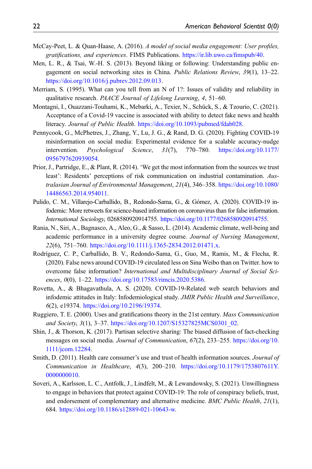- <span id="page-21-9"></span>McCay-Peet, L. & Quan-Haase, A. (2016). A model of social media engagement: User profiles, gratifications, and experiences. FIMS Publications. [https://ir.lib.uwo.ca/](https://ir.lib.uwo.ca/fimspub/40)fimspub/40.
- <span id="page-21-12"></span>Men, L. R., & Tsai, W.-H. S. (2013). Beyond liking or following: Understanding public engagement on social networking sites in China. Public Relations Review, 39(1), 13–22. <https://doi.org/10.1016/j.pubrev.2012.09.013>.
- <span id="page-21-13"></span>Merriam, S. (1995). What can you tell from an N of 1?: Issues of validity and reliability in qualitative research. PAACE Journal of Lifelong Learning, 4, 51–60.
- <span id="page-21-4"></span>Montagni, I., Ouazzani-Touhami, K., Mebarki, A., Texier, N., Schück, S., & Tzourio, C. (2021). Acceptance of a Covid-19 vaccine is associated with ability to detect fake news and health literacy. Journal of Public Health. <https://doi.org/10.1093/pubmed/fdab028>.
- <span id="page-21-8"></span>Pennycook, G., McPhetres, J., Zhang, Y., Lu, J. G., & Rand, D. G. (2020). Fighting COVID-19 misinformation on social media: Experimental evidence for a scalable accuracy-nudge intervention. Psychological Science, 31(7), 770–780. [https://doi.org/10.1177/](https://doi.org/10.1177/0956797620939054) [0956797620939054](https://doi.org/10.1177/0956797620939054).
- <span id="page-21-6"></span>Prior, J., Partridge, E., & Plant, R. (2014). 'We get the most information from the sources we trust least': Residents' perceptions of risk communication on industrial contamination. Australasian Journal of Environmental Management, 21(4), 346–358. [https://doi.org/10.1080/](https://doi.org/10.1080/14486563.2014.954011) [14486563.2014.954011](https://doi.org/10.1080/14486563.2014.954011).
- <span id="page-21-0"></span>Pulido, C. M., Villarejo-Carballido, B., Redondo-Sama, G., & Gómez, A. (2020). COVID-19 infodemic: More retweets for science-based information on coronavirus than for false information. International Sociology, 0268580920914755. [https://doi.org/10.1177/0268580920914755.](https://doi.org/10.1177/0268580920914755)
- <span id="page-21-11"></span>Rania, N., Siri, A., Bagnasco, A., Aleo, G., & Sasso, L. (2014). Academic climate, well-being and academic performance in a university degree course. Journal of Nursing Management, 22(6), 751–760. [https://doi.org/10.1111/j.1365-2834.2012.01471.x.](https://doi.org/10.1111/j.1365-2834.2012.01471.x)
- <span id="page-21-1"></span>Rodríguez, C. P., Carballido, B. V., Redondo-Sama, G., Guo, M., Ramis, M., & Flecha, R. (2020). False news around COVID-19 circulated less on Sina Weibo than on Twitter. how to overcome false information? International and Multidisciplinary Journal of Social Sciences, 0(0), 1–22. <https://doi.org/10.17583/rimcis.2020.5386>.
- <span id="page-21-2"></span>Rovetta, A., & Bhagavathula, A. S. (2020). COVID-19-Related web search behaviors and infodemic attitudes in Italy: Infodemiological study. JMIR Public Health and Surveillance, 6(2), e19374. <https://doi.org/10.2196/19374>.
- <span id="page-21-10"></span>Ruggiero, T. E. (2000). Uses and gratifications theory in the 21st century. Mass Communication and Society, 3(1), 3-37. [https://doi.org/10.1207/S15327825MCS0301\\_02](https://doi.org/10.1207/S15327825MCS0301_02).
- <span id="page-21-5"></span>Shin, J., & Thorson, K. (2017). Partisan selective sharing: The biased diffusion of fact-checking messages on social media. Journal of Communication, 67(2), 233–255. [https://doi.org/10.](https://doi.org/10.1111/jcom.12284) [1111/jcom.12284](https://doi.org/10.1111/jcom.12284).
- <span id="page-21-7"></span>Smith, D. (2011). Health care consumer's use and trust of health information sources. *Journal of* Communication in Healthcare, 4(3), 200–210. [https://doi.org/10.1179/1753807611Y.](https://doi.org/10.1179/1753807611Y.0000000010) [0000000010](https://doi.org/10.1179/1753807611Y.0000000010).
- <span id="page-21-3"></span>Soveri, A., Karlsson, L. C., Antfolk, J., Lindfelt, M., & Lewandowsky, S. (2021). Unwillingness to engage in behaviors that protect against COVID-19: The role of conspiracy beliefs, trust, and endorsement of complementary and alternative medicine. BMC Public Health, 21(1), 684. [https://doi.org/10.1186/s12889-021-10643-w.](https://doi.org/10.1186/s12889-021-10643-w)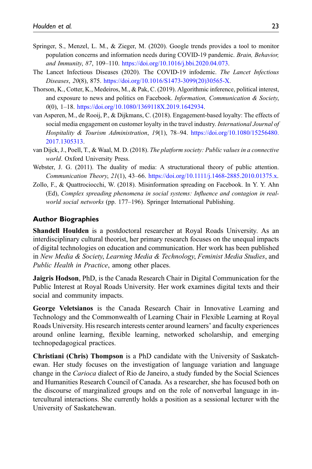- <span id="page-22-1"></span>Springer, S., Menzel, L. M., & Zieger, M. (2020). Google trends provides a tool to monitor population concerns and information needs during COVID-19 pandemic. Brain, Behavior, and Immunity, 87, 109–110. [https://doi.org/10.1016/j.bbi.2020.04.073.](https://doi.org/10.1016/j.bbi.2020.04.073)
- <span id="page-22-0"></span>The Lancet Infectious Diseases (2020). The COVID-19 infodemic. The Lancet Infectious Diseases, 20(8), 875. [https://doi.org/10.1016/S1473-3099\(20\)30565-X.](https://doi.org/10.1016/S1473-3099(20)30565-X)
- <span id="page-22-5"></span>Thorson, K., Cotter, K., Medeiros, M., & Pak, C. (2019). Algorithmic inference, political interest, and exposure to news and politics on Facebook. Information, Communication & Society, 0(0), 1–18. [https://doi.org/10.1080/1369118X.2019.1642934.](https://doi.org/10.1080/1369118X.2019.1642934)
- <span id="page-22-2"></span>van Asperen, M., de Rooij, P., & Dijkmans, C. (2018). Engagement-based loyalty: The effects of social media engagement on customer loyalty in the travel industry. International Journal of Hospitality & Tourism Administration, 19(1), 78–94. [https://doi.org/10.1080/15256480.](https://doi.org/10.1080/15256480.2017.1305313) [2017.1305313](https://doi.org/10.1080/15256480.2017.1305313).
- <span id="page-22-3"></span>van Dijck, J., Poell, T., & Waal, M. D. (2018). The platform society: Public values in a connective world. Oxford University Press.
- <span id="page-22-4"></span>Webster, J. G. (2011). The duality of media: A structurational theory of public attention. Communication Theory, 21(1), 43–66. [https://doi.org/10.1111/j.1468-2885.2010.01375.x.](https://doi.org/10.1111/j.1468-2885.2010.01375.x)
- <span id="page-22-6"></span>Zollo, F., & Quattrociocchi, W. (2018). Misinformation spreading on Facebook. In Y. Y. Ahn (Ed), Complex spreading phenomena in social systems: Influence and contagion in realworld social networks (pp. 177-196). Springer International Publishing.

#### Author Biographies

Shandell Houlden is a postdoctoral researcher at Royal Roads University. As an interdisciplinary cultural theorist, her primary research focuses on the unequal impacts of digital technologies on education and communication. Her work has been published in New Media & Society, Learning Media & Technology, Feminist Media Studies, and Public Health in Practice, among other places.

Jaigris Hodson, PhD, is the Canada Research Chair in Digital Communication for the Public Interest at Royal Roads University. Her work examines digital texts and their social and community impacts.

George Veletsianos is the Canada Research Chair in Innovative Learning and Technology and the Commonwealth of Learning Chair in Flexible Learning at Royal Roads University. His research interests center around learners' and faculty experiences around online learning, flexible learning, networked scholarship, and emerging technopedagogical practices.

Christiani (Chris) Thompson is a PhD candidate with the University of Saskatchewan. Her study focuses on the investigation of language variation and language change in the *Carioca* dialect of Rio de Janeiro, a study funded by the Social Sciences and Humanities Research Council of Canada. As a researcher, she has focused both on the discourse of marginalized groups and on the role of nonverbal language in intercultural interactions. She currently holds a position as a sessional lecturer with the University of Saskatchewan.